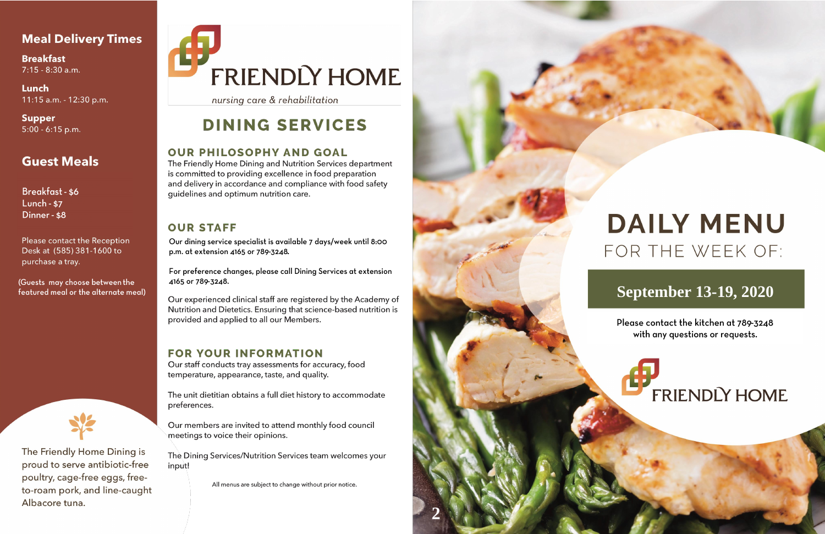#### **Meal Delivery Times**

**Breakfast**  $7:15 - 8:30$  a.m.

Lunch 11:15 a.m. - 12:30 p.m.

**Supper**  $5:00 - 6:15$  p.m.

### **Guest Meals**

**Breakfast - \$6 Lunch - \$7** Dinner - \$8

Please contact the Reception Desk at (585) 381-1600 to purchase a tray.

(Guests may choose between the featured meal or the alternate meal)



The Friendly Home Dining is proud to serve antibiotic-free poultry, cage-free eggs, freeto-roam pork, and line-caught Albacore tuna.

# FRIENDLY HOME

nursing care & rehabilitation

# **DINING SERVICES**

#### **OUR PHILOSOPHY AND GOAL**

The Friendly Home Dining and Nutrition Services department is committed to providing excellence in food preparation and delivery in accordance and compliance with food safety quidelines and optimum nutrition care.

#### **OUR STAFF**

Our dining service specialist is available 7 days/week until 8:00 p.m. at extension 4165 or 789-3248.

For preference changes, please call Dining Services at extension 4165 or 789-3248.

Our experienced clinical staff are registered by the Academy of Nutrition and Dietetics. Ensuring that science-based nutrition is provided and applied to all our Members.

#### **FOR YOUR INFORMATION**

Our staff conducts tray assessments for accuracy, food temperature, appearance, taste, and quality.

The unit dietitian obtains a full diet history to accommodate preferences.

Our members are invited to attend monthly food council meetings to voice their opinions.

The Dining Services/Nutrition Services team welcomes your input!

All menus are subject to change without prior notice.



# **DAILY MENU** FOR THE WEEK OF:

## **September 13-19, 2020**

Please contact the kitchen at 789-3248 with any questions or requests.